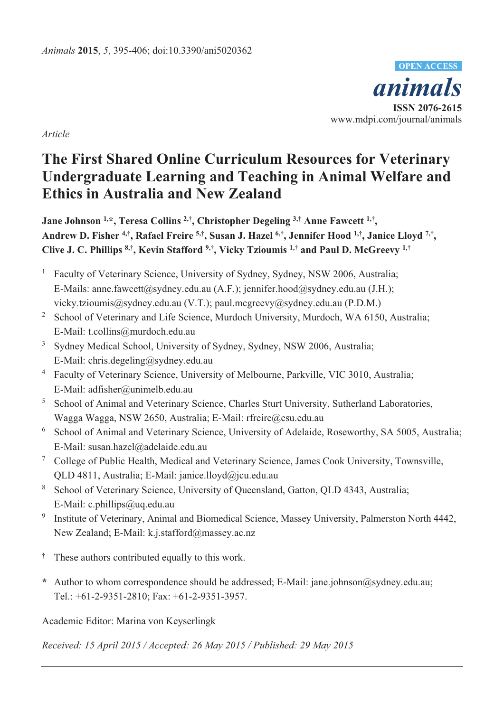*animals* **ISSN 2076-2615**  www.mdpi.com/journal/animals **OPEN ACCESS**

*Article* 

# **The First Shared Online Curriculum Resources for Veterinary Undergraduate Learning and Teaching in Animal Welfare and Ethics in Australia and New Zealand**

**Jane Johnson 1,\*, Teresa Collins 2,†, Christopher Degeling 3,† Anne Fawcett 1,†, Andrew D. Fisher 4,†, Rafael Freire 5,†, Susan J. Hazel 6,†, Jennifer Hood 1,†, Janice Lloyd 7,†, Clive J. C. Phillips 8,†, Kevin Stafford 9,†, Vicky Tzioumis 1,† and Paul D. McGreevy 1,†**

- 1 Faculty of Veterinary Science, University of Sydney, Sydney, NSW 2006, Australia; E-Mails: anne.fawcett@sydney.edu.au (A.F.); jennifer.hood@sydney.edu.au (J.H.); vicky.tzioumis@sydney.edu.au (V.T.); paul.mcgreevy@sydney.edu.au (P.D.M.)
- <sup>2</sup> School of Veterinary and Life Science, Murdoch University, Murdoch, WA 6150, Australia; E-Mail: t.collins@murdoch.edu.au
- <sup>3</sup> Sydney Medical School, University of Sydney, Sydney, NSW 2006, Australia; E-Mail: chris.degeling@sydney.edu.au
- <sup>4</sup> Faculty of Veterinary Science, University of Melbourne, Parkville, VIC 3010, Australia; E-Mail: adfisher@unimelb.edu.au
- <sup>5</sup> School of Animal and Veterinary Science, Charles Sturt University, Sutherland Laboratories, Wagga Wagga, NSW 2650, Australia; E-Mail: rfreire@csu.edu.au
- <sup>6</sup> School of Animal and Veterinary Science, University of Adelaide, Roseworthy, SA 5005, Australia; E-Mail: susan.hazel@adelaide.edu.au
- <sup>7</sup> College of Public Health, Medical and Veterinary Science, James Cook University, Townsville, QLD 4811, Australia; E-Mail: janice.lloyd@jcu.edu.au
- <sup>8</sup> School of Veterinary Science, University of Queensland, Gatton, QLD 4343, Australia; E-Mail: c.phillips@uq.edu.au
- <sup>9</sup> Institute of Veterinary, Animal and Biomedical Science, Massey University, Palmerston North 4442, New Zealand; E-Mail: k.j.stafford@massey.ac.nz
- **†** These authors contributed equally to this work.
- **\*** Author to whom correspondence should be addressed; E-Mail: jane.johnson@sydney.edu.au; Tel.: +61-2-9351-2810; Fax: +61-2-9351-3957.

Academic Editor: Marina von Keyserlingk

*Received: 15 April 2015 / Accepted: 26 May 2015 / Published: 29 May 2015*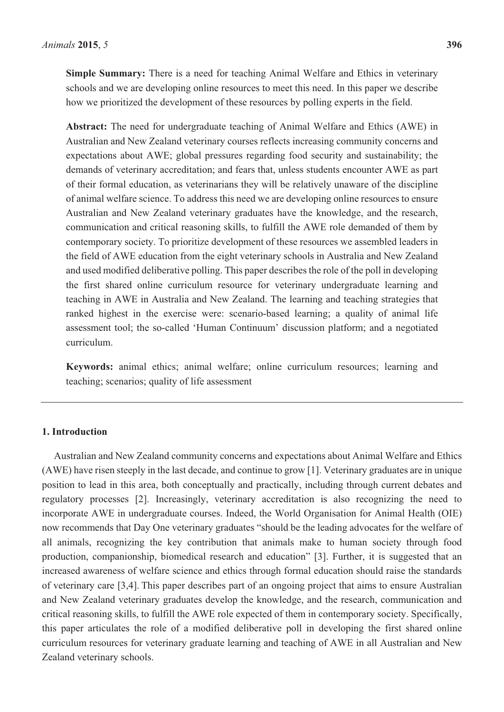**Simple Summary:** There is a need for teaching Animal Welfare and Ethics in veterinary schools and we are developing online resources to meet this need. In this paper we describe how we prioritized the development of these resources by polling experts in the field.

**Abstract:** The need for undergraduate teaching of Animal Welfare and Ethics (AWE) in Australian and New Zealand veterinary courses reflects increasing community concerns and expectations about AWE; global pressures regarding food security and sustainability; the demands of veterinary accreditation; and fears that, unless students encounter AWE as part of their formal education, as veterinarians they will be relatively unaware of the discipline of animal welfare science. To address this need we are developing online resources to ensure Australian and New Zealand veterinary graduates have the knowledge, and the research, communication and critical reasoning skills, to fulfill the AWE role demanded of them by contemporary society. To prioritize development of these resources we assembled leaders in the field of AWE education from the eight veterinary schools in Australia and New Zealand and used modified deliberative polling. This paper describes the role of the poll in developing the first shared online curriculum resource for veterinary undergraduate learning and teaching in AWE in Australia and New Zealand. The learning and teaching strategies that ranked highest in the exercise were: scenario-based learning; a quality of animal life assessment tool; the so-called 'Human Continuum' discussion platform; and a negotiated curriculum.

**Keywords:** animal ethics; animal welfare; online curriculum resources; learning and teaching; scenarios; quality of life assessment

#### **1. Introduction**

Australian and New Zealand community concerns and expectations about Animal Welfare and Ethics (AWE) have risen steeply in the last decade, and continue to grow [1]. Veterinary graduates are in unique position to lead in this area, both conceptually and practically, including through current debates and regulatory processes [2]. Increasingly, veterinary accreditation is also recognizing the need to incorporate AWE in undergraduate courses. Indeed, the World Organisation for Animal Health (OIE) now recommends that Day One veterinary graduates "should be the leading advocates for the welfare of all animals, recognizing the key contribution that animals make to human society through food production, companionship, biomedical research and education" [3]. Further, it is suggested that an increased awareness of welfare science and ethics through formal education should raise the standards of veterinary care [3,4]. This paper describes part of an ongoing project that aims to ensure Australian and New Zealand veterinary graduates develop the knowledge, and the research, communication and critical reasoning skills, to fulfill the AWE role expected of them in contemporary society. Specifically, this paper articulates the role of a modified deliberative poll in developing the first shared online curriculum resources for veterinary graduate learning and teaching of AWE in all Australian and New Zealand veterinary schools.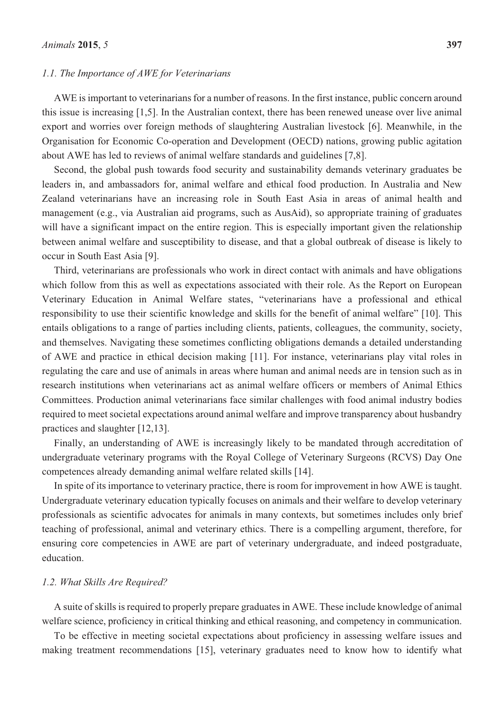#### *1.1. The Importance of AWE for Veterinarians*

AWE is important to veterinarians for a number of reasons. In the first instance, public concern around this issue is increasing [1,5]. In the Australian context, there has been renewed unease over live animal export and worries over foreign methods of slaughtering Australian livestock [6]. Meanwhile, in the Organisation for Economic Co-operation and Development (OECD) nations, growing public agitation about AWE has led to reviews of animal welfare standards and guidelines [7,8].

Second, the global push towards food security and sustainability demands veterinary graduates be leaders in, and ambassadors for, animal welfare and ethical food production. In Australia and New Zealand veterinarians have an increasing role in South East Asia in areas of animal health and management (e.g., via Australian aid programs, such as AusAid), so appropriate training of graduates will have a significant impact on the entire region. This is especially important given the relationship between animal welfare and susceptibility to disease, and that a global outbreak of disease is likely to occur in South East Asia [9].

Third, veterinarians are professionals who work in direct contact with animals and have obligations which follow from this as well as expectations associated with their role. As the Report on European Veterinary Education in Animal Welfare states, "veterinarians have a professional and ethical responsibility to use their scientific knowledge and skills for the benefit of animal welfare" [10]. This entails obligations to a range of parties including clients, patients, colleagues, the community, society, and themselves. Navigating these sometimes conflicting obligations demands a detailed understanding of AWE and practice in ethical decision making [11]. For instance, veterinarians play vital roles in regulating the care and use of animals in areas where human and animal needs are in tension such as in research institutions when veterinarians act as animal welfare officers or members of Animal Ethics Committees. Production animal veterinarians face similar challenges with food animal industry bodies required to meet societal expectations around animal welfare and improve transparency about husbandry practices and slaughter [12,13].

Finally, an understanding of AWE is increasingly likely to be mandated through accreditation of undergraduate veterinary programs with the Royal College of Veterinary Surgeons (RCVS) Day One competences already demanding animal welfare related skills [14].

In spite of its importance to veterinary practice, there is room for improvement in how AWE is taught. Undergraduate veterinary education typically focuses on animals and their welfare to develop veterinary professionals as scientific advocates for animals in many contexts, but sometimes includes only brief teaching of professional, animal and veterinary ethics. There is a compelling argument, therefore, for ensuring core competencies in AWE are part of veterinary undergraduate, and indeed postgraduate, education.

#### *1.2. What Skills Are Required?*

A suite of skills is required to properly prepare graduates in AWE. These include knowledge of animal welfare science, proficiency in critical thinking and ethical reasoning, and competency in communication.

To be effective in meeting societal expectations about proficiency in assessing welfare issues and making treatment recommendations [15], veterinary graduates need to know how to identify what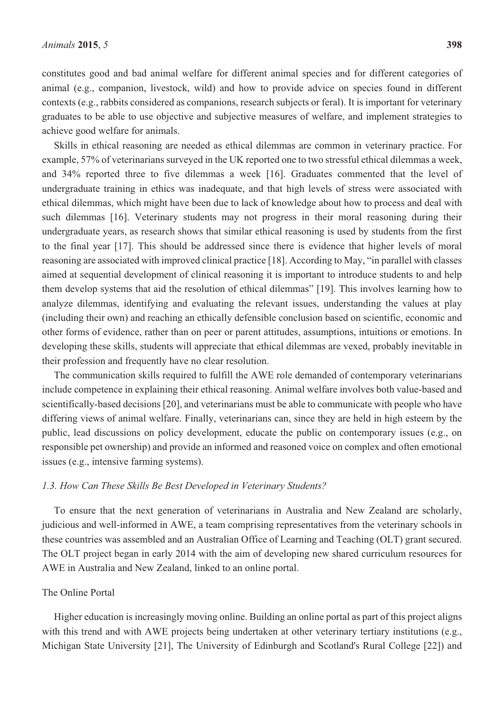constitutes good and bad animal welfare for different animal species and for different categories of animal (e.g., companion, livestock, wild) and how to provide advice on species found in different contexts (e.g., rabbits considered as companions, research subjects or feral). It is important for veterinary graduates to be able to use objective and subjective measures of welfare, and implement strategies to achieve good welfare for animals.

Skills in ethical reasoning are needed as ethical dilemmas are common in veterinary practice. For example, 57% of veterinarians surveyed in the UK reported one to two stressful ethical dilemmas a week, and 34% reported three to five dilemmas a week [16]. Graduates commented that the level of undergraduate training in ethics was inadequate, and that high levels of stress were associated with ethical dilemmas, which might have been due to lack of knowledge about how to process and deal with such dilemmas [16]. Veterinary students may not progress in their moral reasoning during their undergraduate years, as research shows that similar ethical reasoning is used by students from the first to the final year [17]. This should be addressed since there is evidence that higher levels of moral reasoning are associated with improved clinical practice [18]. According to May, "in parallel with classes aimed at sequential development of clinical reasoning it is important to introduce students to and help them develop systems that aid the resolution of ethical dilemmas" [19]. This involves learning how to analyze dilemmas, identifying and evaluating the relevant issues, understanding the values at play (including their own) and reaching an ethically defensible conclusion based on scientific, economic and other forms of evidence, rather than on peer or parent attitudes, assumptions, intuitions or emotions. In developing these skills, students will appreciate that ethical dilemmas are vexed, probably inevitable in their profession and frequently have no clear resolution.

The communication skills required to fulfill the AWE role demanded of contemporary veterinarians include competence in explaining their ethical reasoning. Animal welfare involves both value-based and scientifically-based decisions [20], and veterinarians must be able to communicate with people who have differing views of animal welfare. Finally, veterinarians can, since they are held in high esteem by the public, lead discussions on policy development, educate the public on contemporary issues (e.g., on responsible pet ownership) and provide an informed and reasoned voice on complex and often emotional issues (e.g., intensive farming systems).

#### *1.3. How Can These Skills Be Best Developed in Veterinary Students?*

To ensure that the next generation of veterinarians in Australia and New Zealand are scholarly, judicious and well-informed in AWE, a team comprising representatives from the veterinary schools in these countries was assembled and an Australian Office of Learning and Teaching (OLT) grant secured. The OLT project began in early 2014 with the aim of developing new shared curriculum resources for AWE in Australia and New Zealand, linked to an online portal.

# The Online Portal

Higher education is increasingly moving online. Building an online portal as part of this project aligns with this trend and with AWE projects being undertaken at other veterinary tertiary institutions (e.g., Michigan State University [21], The University of Edinburgh and Scotland's Rural College [22]) and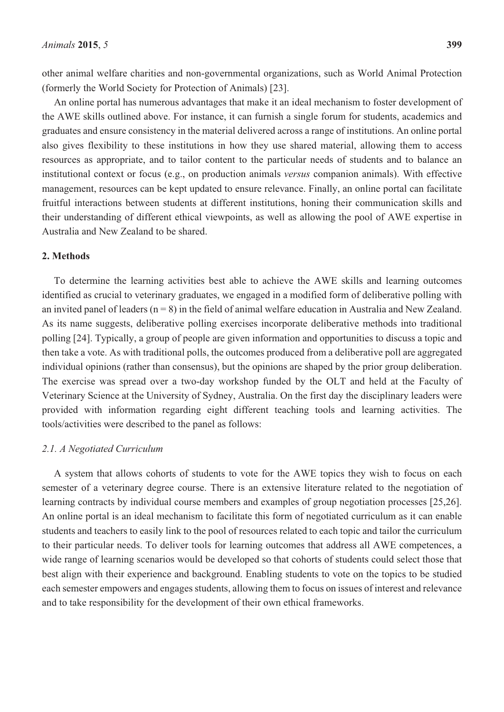other animal welfare charities and non-governmental organizations, such as World Animal Protection (formerly the World Society for Protection of Animals) [23].

An online portal has numerous advantages that make it an ideal mechanism to foster development of the AWE skills outlined above. For instance, it can furnish a single forum for students, academics and graduates and ensure consistency in the material delivered across a range of institutions. An online portal also gives flexibility to these institutions in how they use shared material, allowing them to access resources as appropriate, and to tailor content to the particular needs of students and to balance an institutional context or focus (e.g., on production animals *versus* companion animals). With effective management, resources can be kept updated to ensure relevance. Finally, an online portal can facilitate fruitful interactions between students at different institutions, honing their communication skills and their understanding of different ethical viewpoints, as well as allowing the pool of AWE expertise in Australia and New Zealand to be shared.

# **2. Methods**

To determine the learning activities best able to achieve the AWE skills and learning outcomes identified as crucial to veterinary graduates, we engaged in a modified form of deliberative polling with an invited panel of leaders  $(n = 8)$  in the field of animal welfare education in Australia and New Zealand. As its name suggests, deliberative polling exercises incorporate deliberative methods into traditional polling [24]. Typically, a group of people are given information and opportunities to discuss a topic and then take a vote. As with traditional polls, the outcomes produced from a deliberative poll are aggregated individual opinions (rather than consensus), but the opinions are shaped by the prior group deliberation. The exercise was spread over a two-day workshop funded by the OLT and held at the Faculty of Veterinary Science at the University of Sydney, Australia. On the first day the disciplinary leaders were provided with information regarding eight different teaching tools and learning activities. The tools/activities were described to the panel as follows:

# *2.1. A Negotiated Curriculum*

A system that allows cohorts of students to vote for the AWE topics they wish to focus on each semester of a veterinary degree course. There is an extensive literature related to the negotiation of learning contracts by individual course members and examples of group negotiation processes [25,26]. An online portal is an ideal mechanism to facilitate this form of negotiated curriculum as it can enable students and teachers to easily link to the pool of resources related to each topic and tailor the curriculum to their particular needs. To deliver tools for learning outcomes that address all AWE competences, a wide range of learning scenarios would be developed so that cohorts of students could select those that best align with their experience and background. Enabling students to vote on the topics to be studied each semester empowers and engages students, allowing them to focus on issues of interest and relevance and to take responsibility for the development of their own ethical frameworks.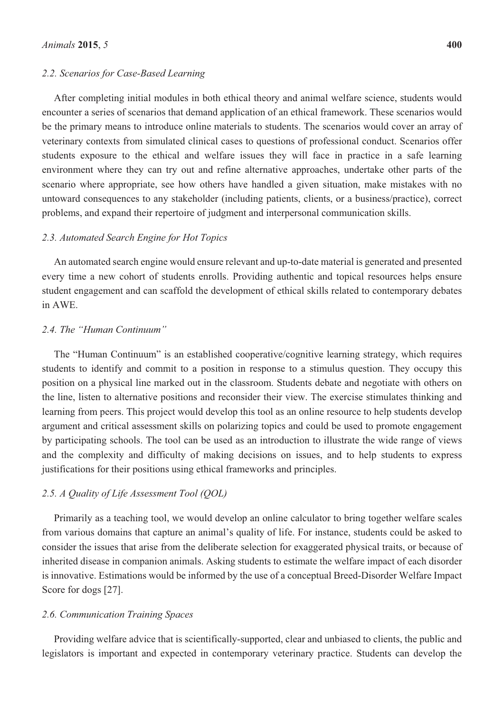#### *2.2. Scenarios for Case-Based Learning*

After completing initial modules in both ethical theory and animal welfare science, students would encounter a series of scenarios that demand application of an ethical framework. These scenarios would be the primary means to introduce online materials to students. The scenarios would cover an array of veterinary contexts from simulated clinical cases to questions of professional conduct. Scenarios offer students exposure to the ethical and welfare issues they will face in practice in a safe learning environment where they can try out and refine alternative approaches, undertake other parts of the scenario where appropriate, see how others have handled a given situation, make mistakes with no untoward consequences to any stakeholder (including patients, clients, or a business/practice), correct problems, and expand their repertoire of judgment and interpersonal communication skills.

#### *2.3. Automated Search Engine for Hot Topics*

An automated search engine would ensure relevant and up-to-date material is generated and presented every time a new cohort of students enrolls. Providing authentic and topical resources helps ensure student engagement and can scaffold the development of ethical skills related to contemporary debates in AWE.

# *2.4. The "Human Continuum"*

The "Human Continuum" is an established cooperative/cognitive learning strategy, which requires students to identify and commit to a position in response to a stimulus question. They occupy this position on a physical line marked out in the classroom. Students debate and negotiate with others on the line, listen to alternative positions and reconsider their view. The exercise stimulates thinking and learning from peers. This project would develop this tool as an online resource to help students develop argument and critical assessment skills on polarizing topics and could be used to promote engagement by participating schools. The tool can be used as an introduction to illustrate the wide range of views and the complexity and difficulty of making decisions on issues, and to help students to express justifications for their positions using ethical frameworks and principles.

#### *2.5. A Quality of Life Assessment Tool (QOL)*

Primarily as a teaching tool, we would develop an online calculator to bring together welfare scales from various domains that capture an animal's quality of life. For instance, students could be asked to consider the issues that arise from the deliberate selection for exaggerated physical traits, or because of inherited disease in companion animals. Asking students to estimate the welfare impact of each disorder is innovative. Estimations would be informed by the use of a conceptual Breed-Disorder Welfare Impact Score for dogs [27].

#### *2.6. Communication Training Spaces*

Providing welfare advice that is scientifically-supported, clear and unbiased to clients, the public and legislators is important and expected in contemporary veterinary practice. Students can develop the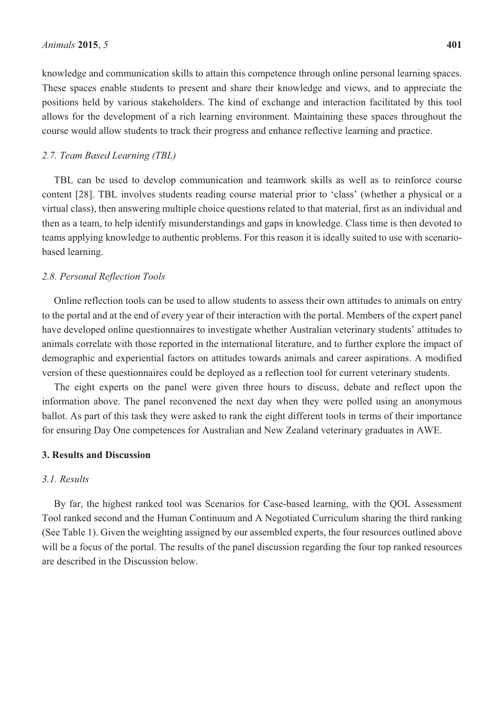knowledge and communication skills to attain this competence through online personal learning spaces. These spaces enable students to present and share their knowledge and views, and to appreciate the positions held by various stakeholders. The kind of exchange and interaction facilitated by this tool allows for the development of a rich learning environment. Maintaining these spaces throughout the course would allow students to track their progress and enhance reflective learning and practice.

#### *2.7. Team Based Learning (TBL)*

TBL can be used to develop communication and teamwork skills as well as to reinforce course content [28]. TBL involves students reading course material prior to 'class' (whether a physical or a virtual class), then answering multiple choice questions related to that material, first as an individual and then as a team, to help identify misunderstandings and gaps in knowledge. Class time is then devoted to teams applying knowledge to authentic problems. For this reason it is ideally suited to use with scenariobased learning.

#### *2.8. Personal Reflection Tools*

Online reflection tools can be used to allow students to assess their own attitudes to animals on entry to the portal and at the end of every year of their interaction with the portal. Members of the expert panel have developed online questionnaires to investigate whether Australian veterinary students' attitudes to animals correlate with those reported in the international literature, and to further explore the impact of demographic and experiential factors on attitudes towards animals and career aspirations. A modified version of these questionnaires could be deployed as a reflection tool for current veterinary students.

The eight experts on the panel were given three hours to discuss, debate and reflect upon the information above. The panel reconvened the next day when they were polled using an anonymous ballot. As part of this task they were asked to rank the eight different tools in terms of their importance for ensuring Day One competences for Australian and New Zealand veterinary graduates in AWE.

#### **3. Results and Discussion**

# *3.1. Results*

By far, the highest ranked tool was Scenarios for Case-based learning, with the QOL Assessment Tool ranked second and the Human Continuum and A Negotiated Curriculum sharing the third ranking (See Table 1). Given the weighting assigned by our assembled experts, the four resources outlined above will be a focus of the portal. The results of the panel discussion regarding the four top ranked resources are described in the Discussion below.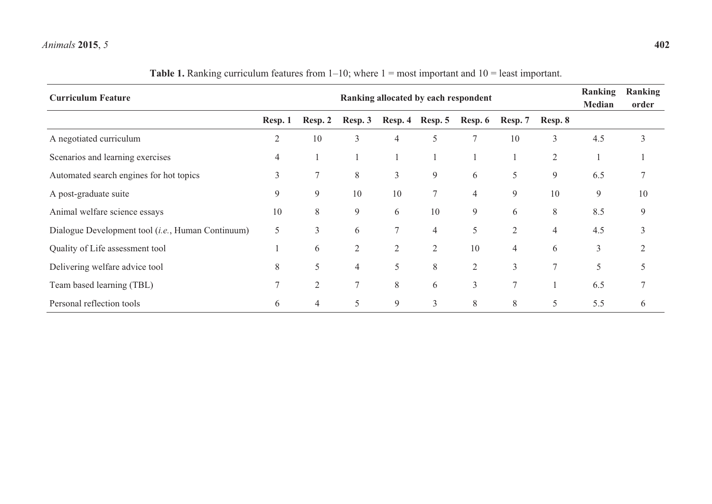#### *Animals***2015**, *5* **402**

| <b>Curriculum Feature</b>                         | Ranking allocated by each respondent |                |                |                |                 |                |                |                | Ranking<br>Median | Ranking<br>order |
|---------------------------------------------------|--------------------------------------|----------------|----------------|----------------|-----------------|----------------|----------------|----------------|-------------------|------------------|
|                                                   | Resp. 1                              | Resp. 2        | Resp. 3        |                | Resp. 4 Resp. 5 | Resp. 6        | Resp. 7        | Resp. 8        |                   |                  |
| A negotiated curriculum                           | $\overline{2}$                       | 10             | 3              | $\overline{4}$ | 5               | $\overline{7}$ | 10             | 3              | 4.5               | 3                |
| Scenarios and learning exercises                  | 4                                    |                |                |                |                 |                |                | $\overline{2}$ |                   |                  |
| Automated search engines for hot topics           | 3                                    | $\overline{7}$ | $8\,$          | 3              | 9               | 6              | 5              | 9              | 6.5               |                  |
| A post-graduate suite                             | 9                                    | 9              | 10             | 10             |                 | 4              | 9              | 10             | 9                 | 10               |
| Animal welfare science essays                     | 10                                   | 8              | 9              | 6              | 10              | 9              | 6              | 8              | 8.5               | 9                |
| Dialogue Development tool (i.e., Human Continuum) | 5                                    | 3              | 6              | $\tau$         | 4               | 5              | $\overline{2}$ | $\overline{4}$ | 4.5               | 3                |
| Quality of Life assessment tool                   |                                      | 6              | $\overline{2}$ | $\overline{2}$ | $\overline{2}$  | 10             | 4              | 6              | 3                 | 2                |
| Delivering welfare advice tool                    | 8                                    | 5              | 4              | 5              | 8               | $\overline{2}$ | 3              | $\tau$         | 5                 |                  |
| Team based learning (TBL)                         |                                      | $\overline{2}$ | 7              | 8              | 6               | 3              | $\overline{7}$ |                | 6.5               |                  |
| Personal reflection tools                         | 6                                    | 4              | 5              | 9              | $\mathfrak{Z}$  | 8              | 8              | 5              | 5.5               | 6                |

# **Table 1.** Ranking curriculum features from 1–10; where 1 = most important and 10 = least important.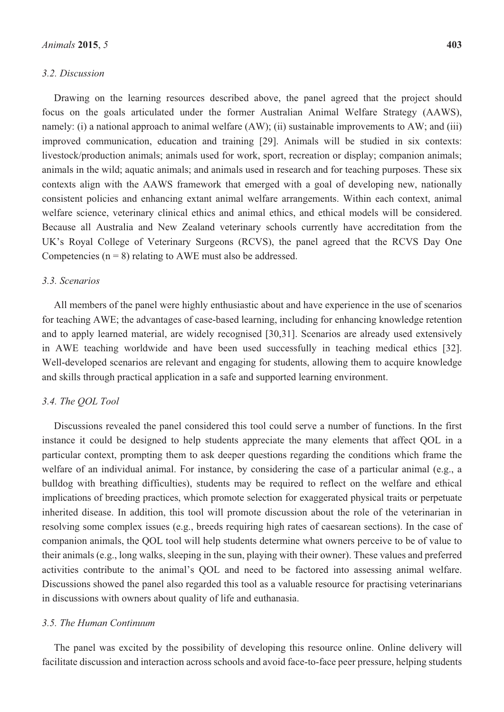#### *3.2. Discussion*

Drawing on the learning resources described above, the panel agreed that the project should focus on the goals articulated under the former Australian Animal Welfare Strategy (AAWS), namely: (i) a national approach to animal welfare (AW); (ii) sustainable improvements to AW; and (iii) improved communication, education and training [29]. Animals will be studied in six contexts: livestock/production animals; animals used for work, sport, recreation or display; companion animals; animals in the wild; aquatic animals; and animals used in research and for teaching purposes. These six contexts align with the AAWS framework that emerged with a goal of developing new, nationally consistent policies and enhancing extant animal welfare arrangements. Within each context, animal welfare science, veterinary clinical ethics and animal ethics, and ethical models will be considered. Because all Australia and New Zealand veterinary schools currently have accreditation from the UK's Royal College of Veterinary Surgeons (RCVS), the panel agreed that the RCVS Day One Competencies ( $n = 8$ ) relating to AWE must also be addressed.

### *3.3. Scenarios*

All members of the panel were highly enthusiastic about and have experience in the use of scenarios for teaching AWE; the advantages of case-based learning, including for enhancing knowledge retention and to apply learned material, are widely recognised [30,31]. Scenarios are already used extensively in AWE teaching worldwide and have been used successfully in teaching medical ethics [32]. Well-developed scenarios are relevant and engaging for students, allowing them to acquire knowledge and skills through practical application in a safe and supported learning environment.

#### *3.4. The QOL Tool*

Discussions revealed the panel considered this tool could serve a number of functions. In the first instance it could be designed to help students appreciate the many elements that affect QOL in a particular context, prompting them to ask deeper questions regarding the conditions which frame the welfare of an individual animal. For instance, by considering the case of a particular animal (e.g., a bulldog with breathing difficulties), students may be required to reflect on the welfare and ethical implications of breeding practices, which promote selection for exaggerated physical traits or perpetuate inherited disease. In addition, this tool will promote discussion about the role of the veterinarian in resolving some complex issues (e.g., breeds requiring high rates of caesarean sections). In the case of companion animals, the QOL tool will help students determine what owners perceive to be of value to their animals (e.g., long walks, sleeping in the sun, playing with their owner). These values and preferred activities contribute to the animal's QOL and need to be factored into assessing animal welfare. Discussions showed the panel also regarded this tool as a valuable resource for practising veterinarians in discussions with owners about quality of life and euthanasia.

#### *3.5. The Human Continuum*

The panel was excited by the possibility of developing this resource online. Online delivery will facilitate discussion and interaction across schools and avoid face-to-face peer pressure, helping students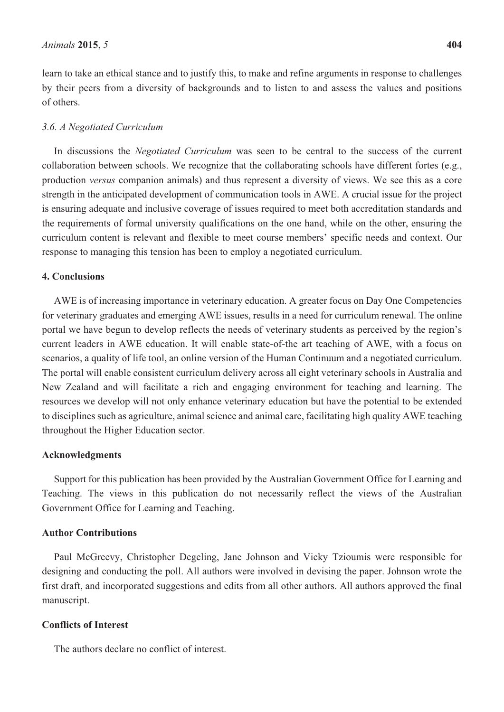learn to take an ethical stance and to justify this, to make and refine arguments in response to challenges by their peers from a diversity of backgrounds and to listen to and assess the values and positions of others.

#### *3.6. A Negotiated Curriculum*

In discussions the *Negotiated Curriculum* was seen to be central to the success of the current collaboration between schools. We recognize that the collaborating schools have different fortes (e.g., production *versus* companion animals) and thus represent a diversity of views. We see this as a core strength in the anticipated development of communication tools in AWE. A crucial issue for the project is ensuring adequate and inclusive coverage of issues required to meet both accreditation standards and the requirements of formal university qualifications on the one hand, while on the other, ensuring the curriculum content is relevant and flexible to meet course members' specific needs and context. Our response to managing this tension has been to employ a negotiated curriculum.

# **4. Conclusions**

AWE is of increasing importance in veterinary education. A greater focus on Day One Competencies for veterinary graduates and emerging AWE issues, results in a need for curriculum renewal. The online portal we have begun to develop reflects the needs of veterinary students as perceived by the region's current leaders in AWE education. It will enable state-of-the art teaching of AWE, with a focus on scenarios, a quality of life tool, an online version of the Human Continuum and a negotiated curriculum. The portal will enable consistent curriculum delivery across all eight veterinary schools in Australia and New Zealand and will facilitate a rich and engaging environment for teaching and learning. The resources we develop will not only enhance veterinary education but have the potential to be extended to disciplines such as agriculture, animal science and animal care, facilitating high quality AWE teaching throughout the Higher Education sector.

#### **Acknowledgments**

Support for this publication has been provided by the Australian Government Office for Learning and Teaching. The views in this publication do not necessarily reflect the views of the Australian Government Office for Learning and Teaching.

# **Author Contributions**

Paul McGreevy, Christopher Degeling, Jane Johnson and Vicky Tzioumis were responsible for designing and conducting the poll. All authors were involved in devising the paper. Johnson wrote the first draft, and incorporated suggestions and edits from all other authors. All authors approved the final manuscript.

# **Conflicts of Interest**

The authors declare no conflict of interest.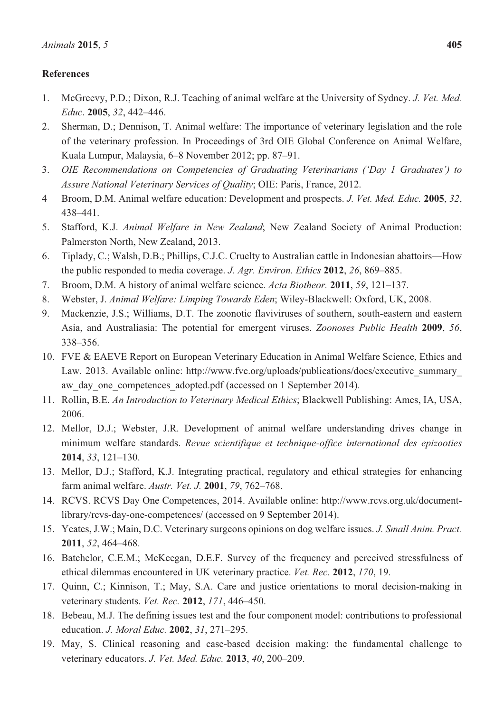# **References**

- 1. McGreevy, P.D.; Dixon, R.J. Teaching of animal welfare at the University of Sydney. *J. Vet. Med. Educ*. **2005**, *32*, 442–446.
- 2. Sherman, D.; Dennison, T. Animal welfare: The importance of veterinary legislation and the role of the veterinary profession. In Proceedings of 3rd OIE Global Conference on Animal Welfare, Kuala Lumpur, Malaysia, 6–8 November 2012; pp. 87–91.
- 3. *OIE Recommendations on Competencies of Graduating Veterinarians ('Day 1 Graduates') to Assure National Veterinary Services of Quality*; OIE: Paris, France, 2012.
- 4 Broom, D.M. Animal welfare education: Development and prospects. *J. Vet. Med. Educ.* **2005**, *32*, 438–441.
- 5. Stafford, K.J. *Animal Welfare in New Zealand*; New Zealand Society of Animal Production: Palmerston North, New Zealand, 2013.
- 6. Tiplady, C.; Walsh, D.B.; Phillips, C.J.C. Cruelty to Australian cattle in Indonesian abattoirs—How the public responded to media coverage. *J. Agr. Environ. Ethics* **2012**, *26*, 869–885.
- 7. Broom, D.M. A history of animal welfare science. *Acta Biotheor.* **2011**, *59*, 121–137.
- 8. Webster, J. *Animal Welfare: Limping Towards Eden*; Wiley-Blackwell: Oxford, UK, 2008.
- 9. Mackenzie, J.S.; Williams, D.T. The zoonotic flaviviruses of southern, south-eastern and eastern Asia, and Australiasia: The potential for emergent viruses. *Zoonoses Public Health* **2009**, *56*, 338–356.
- 10. FVE & EAEVE Report on European Veterinary Education in Animal Welfare Science, Ethics and Law. 2013. Available online: http://www.fve.org/uploads/publications/docs/executive\_summary\_ aw day one competences adopted.pdf (accessed on 1 September 2014).
- 11. Rollin, B.E. *An Introduction to Veterinary Medical Ethics*; Blackwell Publishing: Ames, IA, USA, 2006.
- 12. Mellor, D.J.; Webster, J.R. Development of animal welfare understanding drives change in minimum welfare standards. *Revue scientifique et technique-office international des epizooties*  **2014**, *33*, 121–130.
- 13. Mellor, D.J.; Stafford, K.J. Integrating practical, regulatory and ethical strategies for enhancing farm animal welfare. *Austr. Vet. J.* **2001**, *79*, 762–768.
- 14. RCVS. RCVS Day One Competences, 2014. Available online: http://www.rcvs.org.uk/documentlibrary/rcvs-day-one-competences/ (accessed on 9 September 2014).
- 15. Yeates, J.W.; Main, D.C. Veterinary surgeons opinions on dog welfare issues. *J. Small Anim. Pract.* **2011**, *52*, 464–468.
- 16. Batchelor, C.E.M.; McKeegan, D.E.F. Survey of the frequency and perceived stressfulness of ethical dilemmas encountered in UK veterinary practice. *Vet. Rec.* **2012**, *170*, 19.
- 17. Quinn, C.; Kinnison, T.; May, S.A. Care and justice orientations to moral decision-making in veterinary students. *Vet. Rec.* **2012**, *171*, 446–450.
- 18. Bebeau, M.J. The defining issues test and the four component model: contributions to professional education. *J. Moral Educ.* **2002**, *31*, 271–295.
- 19. May, S. Clinical reasoning and case-based decision making: the fundamental challenge to veterinary educators. *J. Vet. Med. Educ.* **2013**, *40*, 200–209.